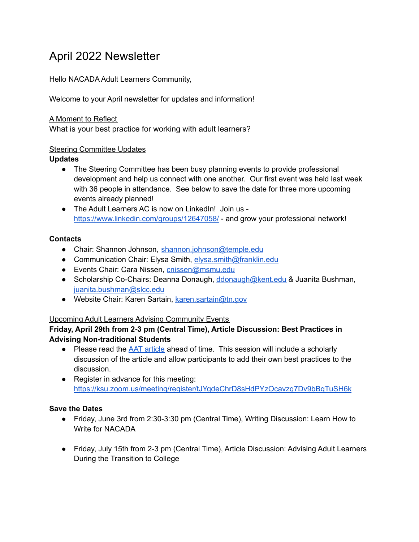# April 2022 Newsletter

Hello NACADA Adult Learners Community,

Welcome to your April newsletter for updates and information!

### A Moment to Reflect

What is your best practice for working with adult learners?

#### Steering Committee Updates

## **Updates**

- The Steering Committee has been busy planning events to provide professional development and help us connect with one another. Our first event was held last week with 36 people in attendance. See below to save the date for three more upcoming events already planned!
- The Adult Learners AC is now on LinkedIn! Join us <https://www.linkedin.com/groups/12647058/> - and grow your professional network!

## **Contacts**

- Chair: Shannon Johnson, [shannon.johnson@temple.edu](mailto:shannon.johnson@temple.edu)
- Communication Chair: Elysa Smith, [elysa.smith@franklin.edu](mailto:elysa.smith@franklin.edu)
- Events Chair: Cara Nissen, [cnissen@msmu.edu](mailto:cnissen@msmu.edu)
- Scholarship Co-Chairs: Deanna Donaugh, [ddonaugh@kent.edu](mailto:ddonaugh@kent.edu) & Juanita Bushman, [juanita.bushman@slcc.edu](mailto:juanita.bushman@slcc.edu)
- Website Chair: Karen Sartain, [karen.sartain@tn.gov](mailto:karen.sartain@tn.gov)

# Upcoming Adult Learners Advising Community Events

## **Friday, April 29th from 2-3 pm (Central Time), Article Discussion: Best Practices in Advising Non-traditional Students**

- Please read the AAT [article](https://nacada.ksu.edu/Resources/Academic-Advising-Today/View-Articles/Best-Practices-in-Advising-Non-traditional-Students.aspx) ahead of time. This session will include a scholarly discussion of the article and allow participants to add their own best practices to the discussion.
- Register in advance for this meeting: <https://ksu.zoom.us/meeting/register/tJYqdeChrD8sHdPYzOcavzq7Dv9bBgTuSH6k>

# **Save the Dates**

- Friday, June 3rd from 2:30-3:30 pm (Central Time), Writing Discussion: Learn How to Write for NACADA
- Friday, July 15th from 2-3 pm (Central Time), Article Discussion: Advising Adult Learners During the Transition to College